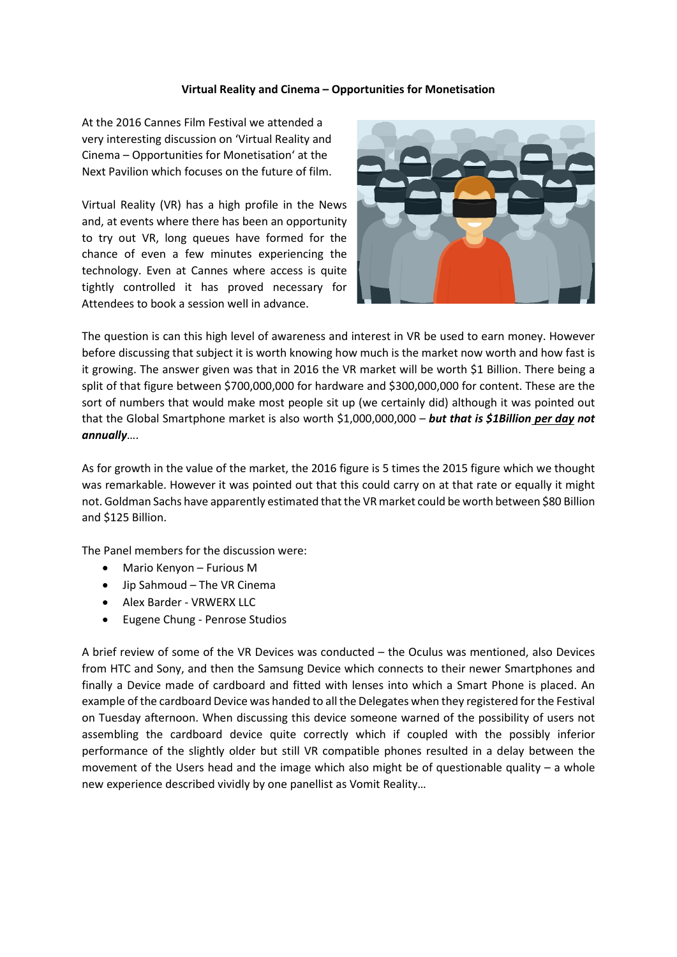## **Virtual Reality and Cinema – Opportunities for Monetisation**

At the 2016 Cannes Film Festival we attended a very interesting discussion on 'Virtual Reality and Cinema – Opportunities for Monetisation' at the Next Pavilion which focuses on the future of film.

Virtual Reality (VR) has a high profile in the News and, at events where there has been an opportunity to try out VR, long queues have formed for the chance of even a few minutes experiencing the technology. Even at Cannes where access is quite tightly controlled it has proved necessary for Attendees to book a session well in advance.



The question is can this high level of awareness and interest in VR be used to earn money. However before discussing that subject it is worth knowing how much is the market now worth and how fast is it growing. The answer given was that in 2016 the VR market will be worth \$1 Billion. There being a split of that figure between \$700,000,000 for hardware and \$300,000,000 for content. These are the sort of numbers that would make most people sit up (we certainly did) although it was pointed out that the Global Smartphone market is also worth \$1,000,000,000 – *but that is \$1Billion per day not annually*….

As for growth in the value of the market, the 2016 figure is 5 times the 2015 figure which we thought was remarkable. However it was pointed out that this could carry on at that rate or equally it might not. Goldman Sachs have apparently estimated that the VR market could be worth between \$80 Billion and \$125 Billion.

The Panel members for the discussion were:

- Mario Kenyon Furious M
- Jip Sahmoud The VR Cinema
- Alex Barder VRWERX LLC
- Eugene Chung Penrose Studios

A brief review of some of the VR Devices was conducted – the Oculus was mentioned, also Devices from HTC and Sony, and then the Samsung Device which connects to their newer Smartphones and finally a Device made of cardboard and fitted with lenses into which a Smart Phone is placed. An example of the cardboard Device was handed to all the Delegates when they registered for the Festival on Tuesday afternoon. When discussing this device someone warned of the possibility of users not assembling the cardboard device quite correctly which if coupled with the possibly inferior performance of the slightly older but still VR compatible phones resulted in a delay between the movement of the Users head and the image which also might be of questionable quality – a whole new experience described vividly by one panellist as Vomit Reality…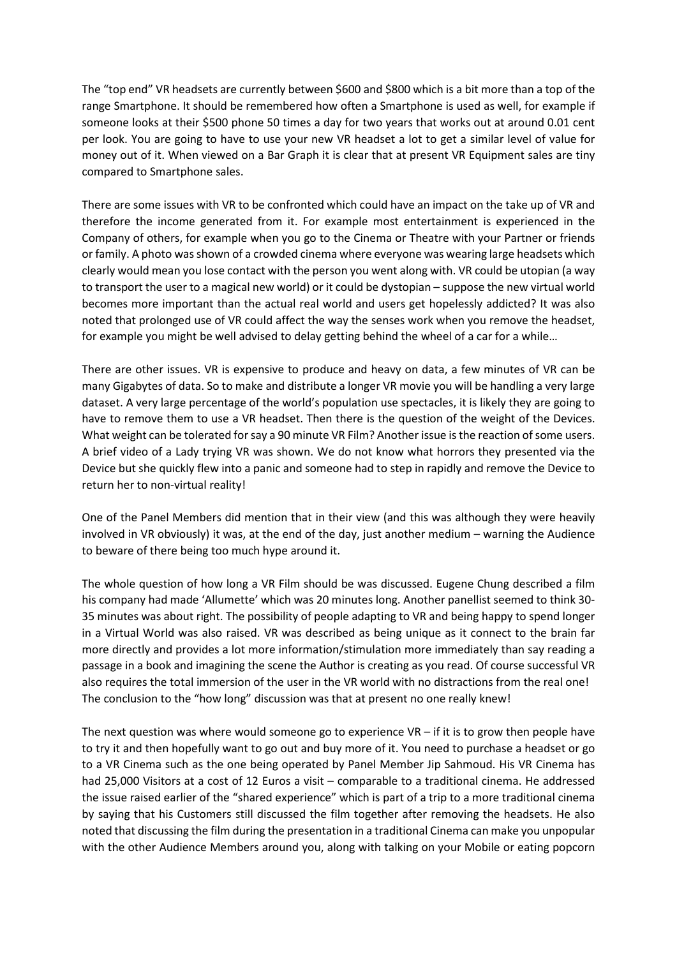The "top end" VR headsets are currently between \$600 and \$800 which is a bit more than a top of the range Smartphone. It should be remembered how often a Smartphone is used as well, for example if someone looks at their \$500 phone 50 times a day for two years that works out at around 0.01 cent per look. You are going to have to use your new VR headset a lot to get a similar level of value for money out of it. When viewed on a Bar Graph it is clear that at present VR Equipment sales are tiny compared to Smartphone sales.

There are some issues with VR to be confronted which could have an impact on the take up of VR and therefore the income generated from it. For example most entertainment is experienced in the Company of others, for example when you go to the Cinema or Theatre with your Partner or friends or family. A photo was shown of a crowded cinema where everyone was wearing large headsets which clearly would mean you lose contact with the person you went along with. VR could be utopian (a way to transport the user to a magical new world) or it could be dystopian – suppose the new virtual world becomes more important than the actual real world and users get hopelessly addicted? It was also noted that prolonged use of VR could affect the way the senses work when you remove the headset, for example you might be well advised to delay getting behind the wheel of a car for a while…

There are other issues. VR is expensive to produce and heavy on data, a few minutes of VR can be many Gigabytes of data. So to make and distribute a longer VR movie you will be handling a very large dataset. A very large percentage of the world's population use spectacles, it is likely they are going to have to remove them to use a VR headset. Then there is the question of the weight of the Devices. What weight can be tolerated for say a 90 minute VR Film? Another issue is the reaction of some users. A brief video of a Lady trying VR was shown. We do not know what horrors they presented via the Device but she quickly flew into a panic and someone had to step in rapidly and remove the Device to return her to non-virtual reality!

One of the Panel Members did mention that in their view (and this was although they were heavily involved in VR obviously) it was, at the end of the day, just another medium – warning the Audience to beware of there being too much hype around it.

The whole question of how long a VR Film should be was discussed. Eugene Chung described a film his company had made 'Allumette' which was 20 minutes long. Another panellist seemed to think 30- 35 minutes was about right. The possibility of people adapting to VR and being happy to spend longer in a Virtual World was also raised. VR was described as being unique as it connect to the brain far more directly and provides a lot more information/stimulation more immediately than say reading a passage in a book and imagining the scene the Author is creating as you read. Of course successful VR also requires the total immersion of the user in the VR world with no distractions from the real one! The conclusion to the "how long" discussion was that at present no one really knew!

The next question was where would someone go to experience  $VR - if$  it is to grow then people have to try it and then hopefully want to go out and buy more of it. You need to purchase a headset or go to a VR Cinema such as the one being operated by Panel Member Jip Sahmoud. His VR Cinema has had 25,000 Visitors at a cost of 12 Euros a visit – comparable to a traditional cinema. He addressed the issue raised earlier of the "shared experience" which is part of a trip to a more traditional cinema by saying that his Customers still discussed the film together after removing the headsets. He also noted that discussing the film during the presentation in a traditional Cinema can make you unpopular with the other Audience Members around you, along with talking on your Mobile or eating popcorn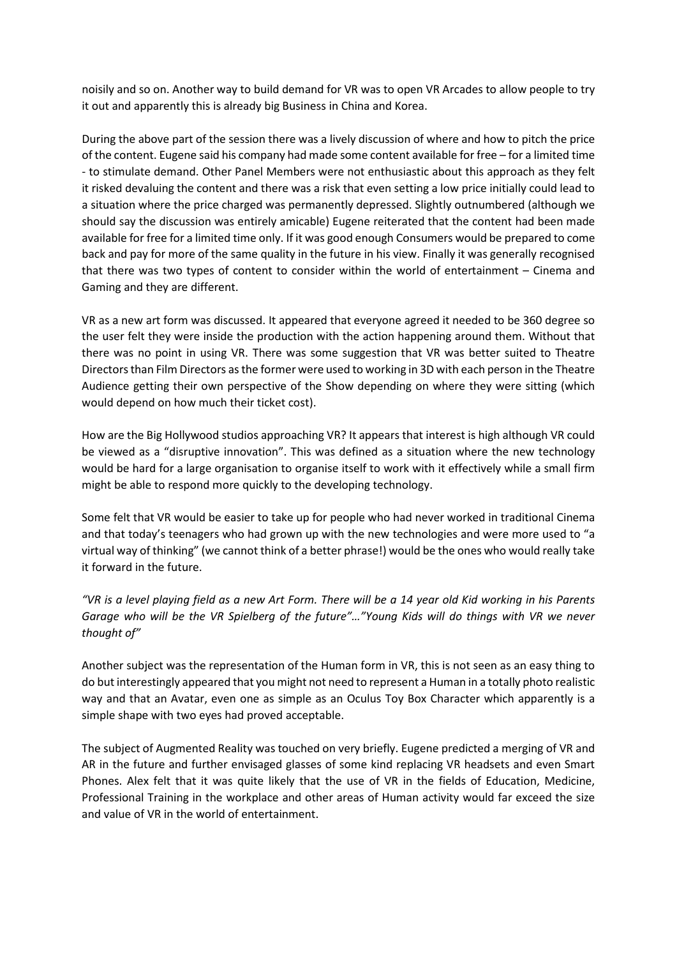noisily and so on. Another way to build demand for VR was to open VR Arcades to allow people to try it out and apparently this is already big Business in China and Korea.

During the above part of the session there was a lively discussion of where and how to pitch the price of the content. Eugene said his company had made some content available for free – for a limited time - to stimulate demand. Other Panel Members were not enthusiastic about this approach as they felt it risked devaluing the content and there was a risk that even setting a low price initially could lead to a situation where the price charged was permanently depressed. Slightly outnumbered (although we should say the discussion was entirely amicable) Eugene reiterated that the content had been made available for free for a limited time only. If it was good enough Consumers would be prepared to come back and pay for more of the same quality in the future in his view. Finally it was generally recognised that there was two types of content to consider within the world of entertainment – Cinema and Gaming and they are different.

VR as a new art form was discussed. It appeared that everyone agreed it needed to be 360 degree so the user felt they were inside the production with the action happening around them. Without that there was no point in using VR. There was some suggestion that VR was better suited to Theatre Directors than Film Directors as the former were used to working in 3D with each person in the Theatre Audience getting their own perspective of the Show depending on where they were sitting (which would depend on how much their ticket cost).

How are the Big Hollywood studios approaching VR? It appears that interest is high although VR could be viewed as a "disruptive innovation". This was defined as a situation where the new technology would be hard for a large organisation to organise itself to work with it effectively while a small firm might be able to respond more quickly to the developing technology.

Some felt that VR would be easier to take up for people who had never worked in traditional Cinema and that today's teenagers who had grown up with the new technologies and were more used to "a virtual way of thinking" (we cannot think of a better phrase!) would be the ones who would really take it forward in the future.

*"VR is a level playing field as a new Art Form. There will be a 14 year old Kid working in his Parents Garage who will be the VR Spielberg of the future"…"Young Kids will do things with VR we never thought of"*

Another subject was the representation of the Human form in VR, this is not seen as an easy thing to do but interestingly appeared that you might not need to represent a Human in a totally photo realistic way and that an Avatar, even one as simple as an Oculus Toy Box Character which apparently is a simple shape with two eyes had proved acceptable.

The subject of Augmented Reality was touched on very briefly. Eugene predicted a merging of VR and AR in the future and further envisaged glasses of some kind replacing VR headsets and even Smart Phones. Alex felt that it was quite likely that the use of VR in the fields of Education, Medicine, Professional Training in the workplace and other areas of Human activity would far exceed the size and value of VR in the world of entertainment.